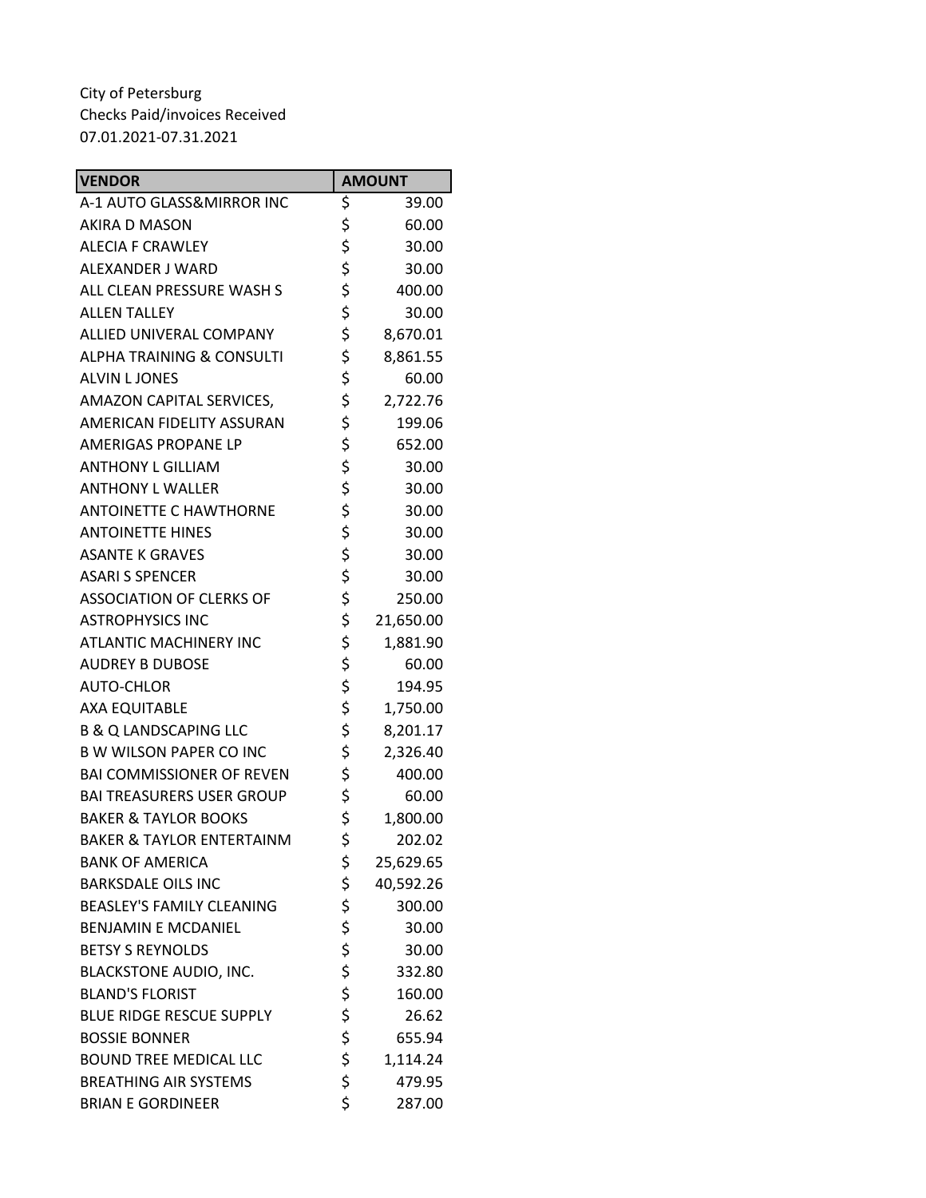| <b>VENDOR</b>                        | <b>AMOUNT</b>   |
|--------------------------------------|-----------------|
| A-1 AUTO GLASS&MIRROR INC            | \$<br>39.00     |
| <b>AKIRA D MASON</b>                 | \$<br>60.00     |
| <b>ALECIA F CRAWLEY</b>              | \$<br>30.00     |
| ALEXANDER J WARD                     | \$<br>30.00     |
| ALL CLEAN PRESSURE WASH S            | \$<br>400.00    |
| <b>ALLEN TALLEY</b>                  | \$<br>30.00     |
| ALLIED UNIVERAL COMPANY              | \$<br>8,670.01  |
| <b>ALPHA TRAINING &amp; CONSULTI</b> | \$<br>8,861.55  |
| <b>ALVIN L JONES</b>                 | \$<br>60.00     |
| AMAZON CAPITAL SERVICES,             | \$<br>2,722.76  |
| AMERICAN FIDELITY ASSURAN            | \$<br>199.06    |
| AMERIGAS PROPANE LP                  | \$<br>652.00    |
| <b>ANTHONY L GILLIAM</b>             | \$<br>30.00     |
| <b>ANTHONY L WALLER</b>              | \$<br>30.00     |
| <b>ANTOINETTE C HAWTHORNE</b>        | \$<br>30.00     |
| <b>ANTOINETTE HINES</b>              | \$<br>30.00     |
| <b>ASANTE K GRAVES</b>               | \$<br>30.00     |
| <b>ASARI S SPENCER</b>               | \$<br>30.00     |
| <b>ASSOCIATION OF CLERKS OF</b>      | \$<br>250.00    |
| <b>ASTROPHYSICS INC</b>              | \$<br>21,650.00 |
| <b>ATLANTIC MACHINERY INC</b>        | \$<br>1,881.90  |
| <b>AUDREY B DUBOSE</b>               | \$<br>60.00     |
| AUTO-CHLOR                           | \$<br>194.95    |
| <b>AXA EQUITABLE</b>                 | \$<br>1,750.00  |
| <b>B &amp; Q LANDSCAPING LLC</b>     | \$<br>8,201.17  |
| <b>B W WILSON PAPER CO INC</b>       | \$<br>2,326.40  |
| <b>BAI COMMISSIONER OF REVEN</b>     | \$<br>400.00    |
| <b>BAI TREASURERS USER GROUP</b>     | \$<br>60.00     |
| <b>BAKER &amp; TAYLOR BOOKS</b>      | \$<br>1,800.00  |
| <b>BAKER &amp; TAYLOR ENTERTAINM</b> | \$<br>202.02    |
| <b>BANK OF AMERICA</b>               | \$<br>25,629.65 |
| <b>BARKSDALE OILS INC</b>            | \$<br>40,592.26 |
| <b>BEASLEY'S FAMILY CLEANING</b>     | \$<br>300.00    |
| <b>BENJAMIN E MCDANIEL</b>           | \$<br>30.00     |
| <b>BETSY S REYNOLDS</b>              | \$<br>30.00     |
| <b>BLACKSTONE AUDIO, INC.</b>        | \$<br>332.80    |
| <b>BLAND'S FLORIST</b>               | \$<br>160.00    |
| <b>BLUE RIDGE RESCUE SUPPLY</b>      | \$<br>26.62     |
| <b>BOSSIE BONNER</b>                 | \$<br>655.94    |
| <b>BOUND TREE MEDICAL LLC</b>        | \$<br>1,114.24  |
| <b>BREATHING AIR SYSTEMS</b>         | \$<br>479.95    |
| <b>BRIAN E GORDINEER</b>             | \$<br>287.00    |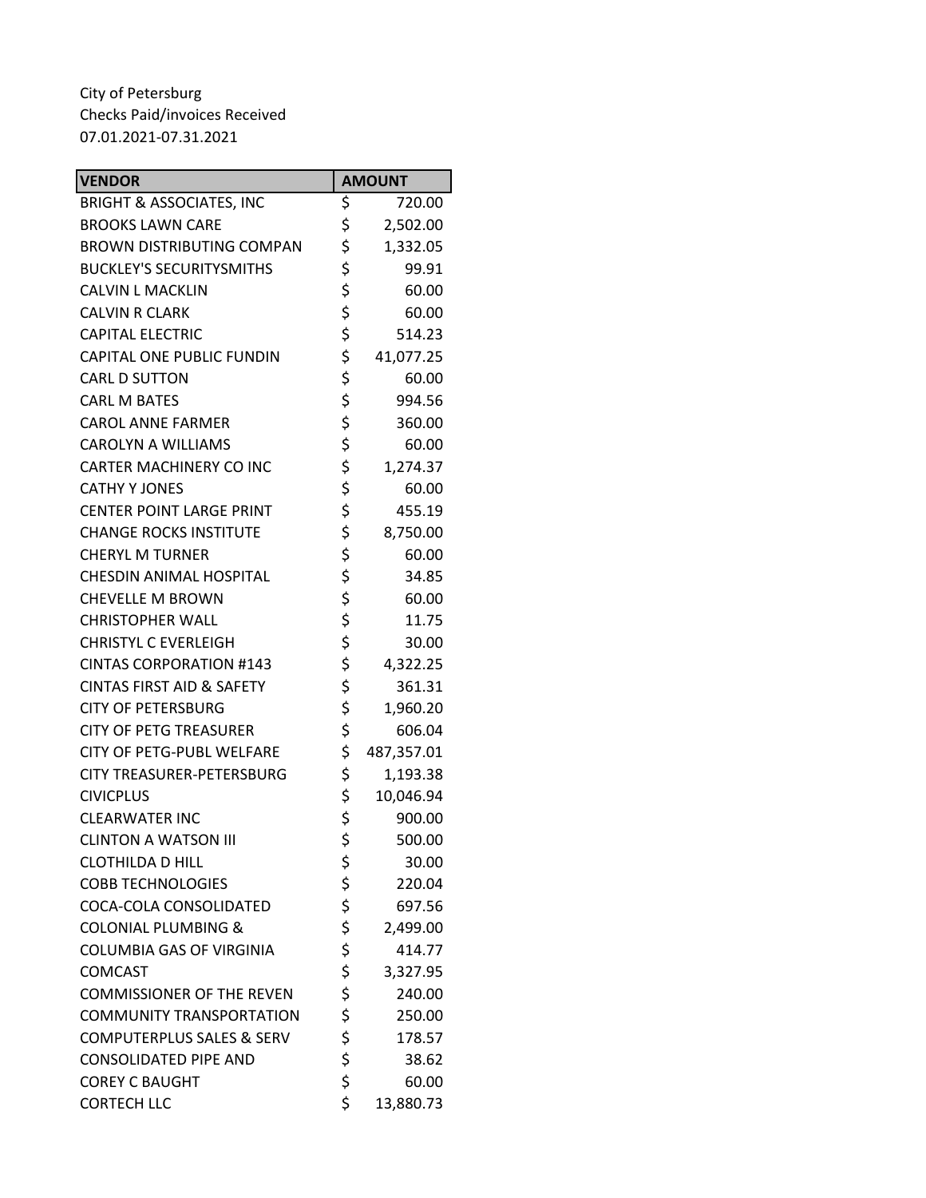| <b>VENDOR</b>                        | <b>AMOUNT</b>    |
|--------------------------------------|------------------|
| <b>BRIGHT &amp; ASSOCIATES, INC</b>  | \$<br>720.00     |
| <b>BROOKS LAWN CARE</b>              | \$<br>2,502.00   |
| <b>BROWN DISTRIBUTING COMPAN</b>     | \$<br>1,332.05   |
| <b>BUCKLEY'S SECURITYSMITHS</b>      | \$<br>99.91      |
| <b>CALVIN L MACKLIN</b>              | \$<br>60.00      |
| <b>CALVIN R CLARK</b>                | \$<br>60.00      |
| <b>CAPITAL ELECTRIC</b>              | \$<br>514.23     |
| CAPITAL ONE PUBLIC FUNDIN            | \$<br>41,077.25  |
| <b>CARL D SUTTON</b>                 | \$<br>60.00      |
| <b>CARL M BATES</b>                  | \$<br>994.56     |
| <b>CAROL ANNE FARMER</b>             | \$<br>360.00     |
| <b>CAROLYN A WILLIAMS</b>            | \$<br>60.00      |
| <b>CARTER MACHINERY CO INC</b>       | \$<br>1,274.37   |
| <b>CATHY Y JONES</b>                 | \$<br>60.00      |
| <b>CENTER POINT LARGE PRINT</b>      | \$<br>455.19     |
| <b>CHANGE ROCKS INSTITUTE</b>        | \$<br>8,750.00   |
| <b>CHERYL M TURNER</b>               | \$<br>60.00      |
| <b>CHESDIN ANIMAL HOSPITAL</b>       | \$<br>34.85      |
| <b>CHEVELLE M BROWN</b>              | \$<br>60.00      |
| <b>CHRISTOPHER WALL</b>              | \$<br>11.75      |
| <b>CHRISTYL C EVERLEIGH</b>          | \$<br>30.00      |
| <b>CINTAS CORPORATION #143</b>       | \$<br>4,322.25   |
| <b>CINTAS FIRST AID &amp; SAFETY</b> | \$<br>361.31     |
| <b>CITY OF PETERSBURG</b>            | \$<br>1,960.20   |
| <b>CITY OF PETG TREASURER</b>        | \$<br>606.04     |
| CITY OF PETG-PUBL WELFARE            | \$<br>487,357.01 |
| <b>CITY TREASURER-PETERSBURG</b>     | \$<br>1,193.38   |
| <b>CIVICPLUS</b>                     | \$<br>10,046.94  |
| <b>CLEARWATER INC</b>                | \$<br>900.00     |
| <b>CLINTON A WATSON III</b>          | \$<br>500.00     |
| <b>CLOTHILDA D HILL</b>              | \$<br>30.00      |
| <b>COBB TECHNOLOGIES</b>             | \$<br>220.04     |
| COCA-COLA CONSOLIDATED               | \$<br>697.56     |
| <b>COLONIAL PLUMBING &amp;</b>       | \$<br>2,499.00   |
| <b>COLUMBIA GAS OF VIRGINIA</b>      | \$<br>414.77     |
| <b>COMCAST</b>                       | \$<br>3,327.95   |
| <b>COMMISSIONER OF THE REVEN</b>     | \$<br>240.00     |
| <b>COMMUNITY TRANSPORTATION</b>      | \$<br>250.00     |
| <b>COMPUTERPLUS SALES &amp; SERV</b> | \$<br>178.57     |
| <b>CONSOLIDATED PIPE AND</b>         | \$<br>38.62      |
| <b>COREY C BAUGHT</b>                | \$<br>60.00      |
| <b>CORTECH LLC</b>                   | \$<br>13,880.73  |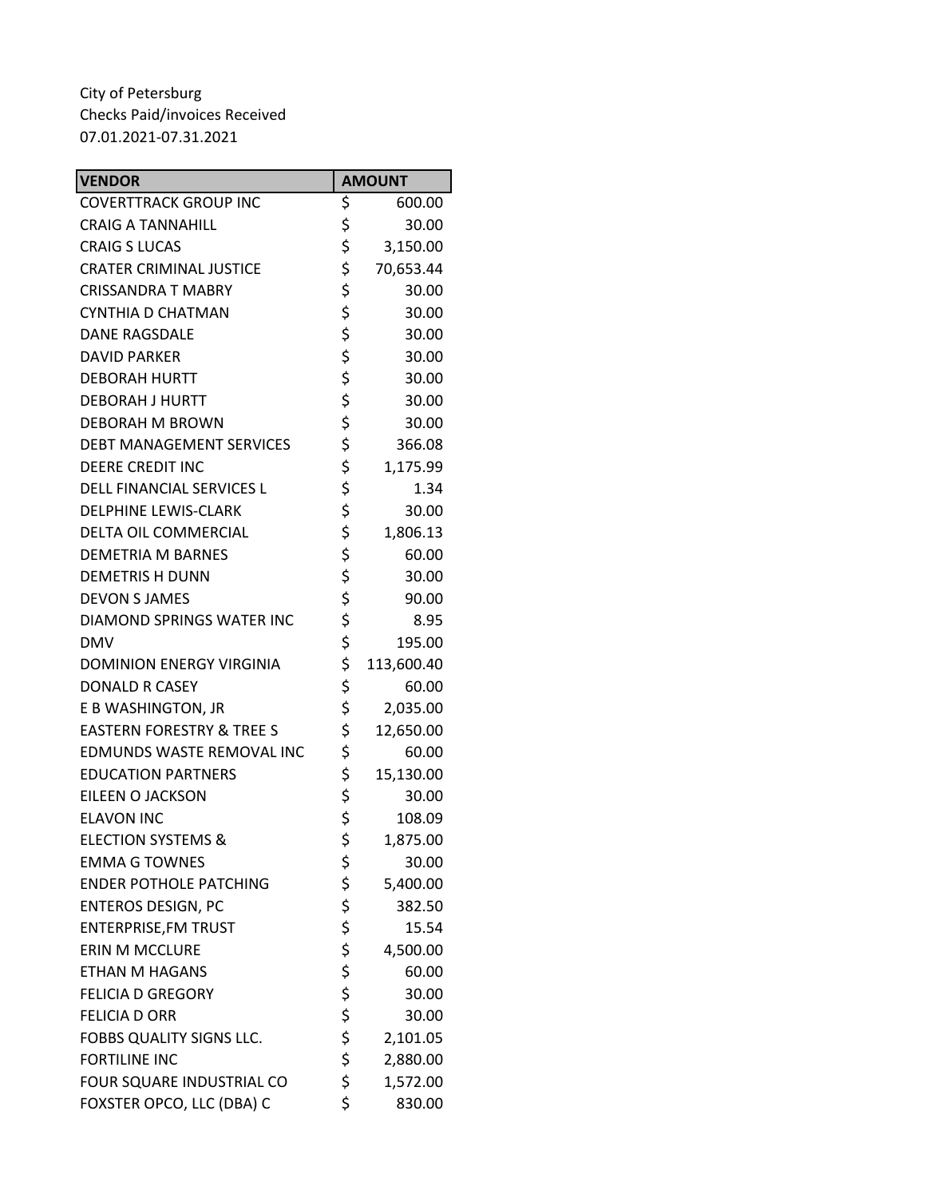| <b>VENDOR</b>                        | <b>AMOUNT</b>    |
|--------------------------------------|------------------|
| <b>COVERTTRACK GROUP INC</b>         | \$<br>600.00     |
| <b>CRAIG A TANNAHILL</b>             | \$<br>30.00      |
| <b>CRAIG S LUCAS</b>                 | \$<br>3,150.00   |
| <b>CRATER CRIMINAL JUSTICE</b>       | \$<br>70,653.44  |
| <b>CRISSANDRA T MABRY</b>            | \$<br>30.00      |
| CYNTHIA D CHATMAN                    | \$<br>30.00      |
| <b>DANE RAGSDALE</b>                 | \$<br>30.00      |
| <b>DAVID PARKER</b>                  | \$<br>30.00      |
| <b>DEBORAH HURTT</b>                 | \$<br>30.00      |
| <b>DEBORAH J HURTT</b>               | \$<br>30.00      |
| DEBORAH M BROWN                      | \$<br>30.00      |
| <b>DEBT MANAGEMENT SERVICES</b>      | \$<br>366.08     |
| <b>DEERE CREDIT INC</b>              | \$<br>1,175.99   |
| DELL FINANCIAL SERVICES L            | \$<br>1.34       |
| <b>DELPHINE LEWIS-CLARK</b>          | \$<br>30.00      |
| DELTA OIL COMMERCIAL                 | \$<br>1,806.13   |
| <b>DEMETRIA M BARNES</b>             | \$<br>60.00      |
| <b>DEMETRIS H DUNN</b>               | \$<br>30.00      |
| <b>DEVON S JAMES</b>                 | \$<br>90.00      |
| DIAMOND SPRINGS WATER INC            | \$<br>8.95       |
| <b>DMV</b>                           | \$<br>195.00     |
| <b>DOMINION ENERGY VIRGINIA</b>      | \$<br>113,600.40 |
| <b>DONALD R CASEY</b>                | \$<br>60.00      |
| E B WASHINGTON, JR                   | \$<br>2,035.00   |
| <b>EASTERN FORESTRY &amp; TREE S</b> | \$<br>12,650.00  |
| EDMUNDS WASTE REMOVAL INC            | \$<br>60.00      |
| <b>EDUCATION PARTNERS</b>            | \$<br>15,130.00  |
| EILEEN O JACKSON                     | \$<br>30.00      |
| <b>ELAVON INC</b>                    | \$<br>108.09     |
| <b>ELECTION SYSTEMS &amp;</b>        | \$<br>1,875.00   |
| <b>EMMA G TOWNES</b>                 | \$<br>30.00      |
| <b>ENDER POTHOLE PATCHING</b>        | \$<br>5,400.00   |
| <b>ENTEROS DESIGN, PC</b>            | \$<br>382.50     |
| <b>ENTERPRISE, FM TRUST</b>          | \$<br>15.54      |
| <b>ERIN M MCCLURE</b>                | \$<br>4,500.00   |
| <b>ETHAN M HAGANS</b>                | \$<br>60.00      |
| <b>FELICIA D GREGORY</b>             | \$<br>30.00      |
| <b>FELICIA D ORR</b>                 | \$<br>30.00      |
| FOBBS QUALITY SIGNS LLC.             | \$<br>2,101.05   |
| <b>FORTILINE INC</b>                 | \$<br>2,880.00   |
| FOUR SQUARE INDUSTRIAL CO            | \$<br>1,572.00   |
| FOXSTER OPCO, LLC (DBA) C            | \$<br>830.00     |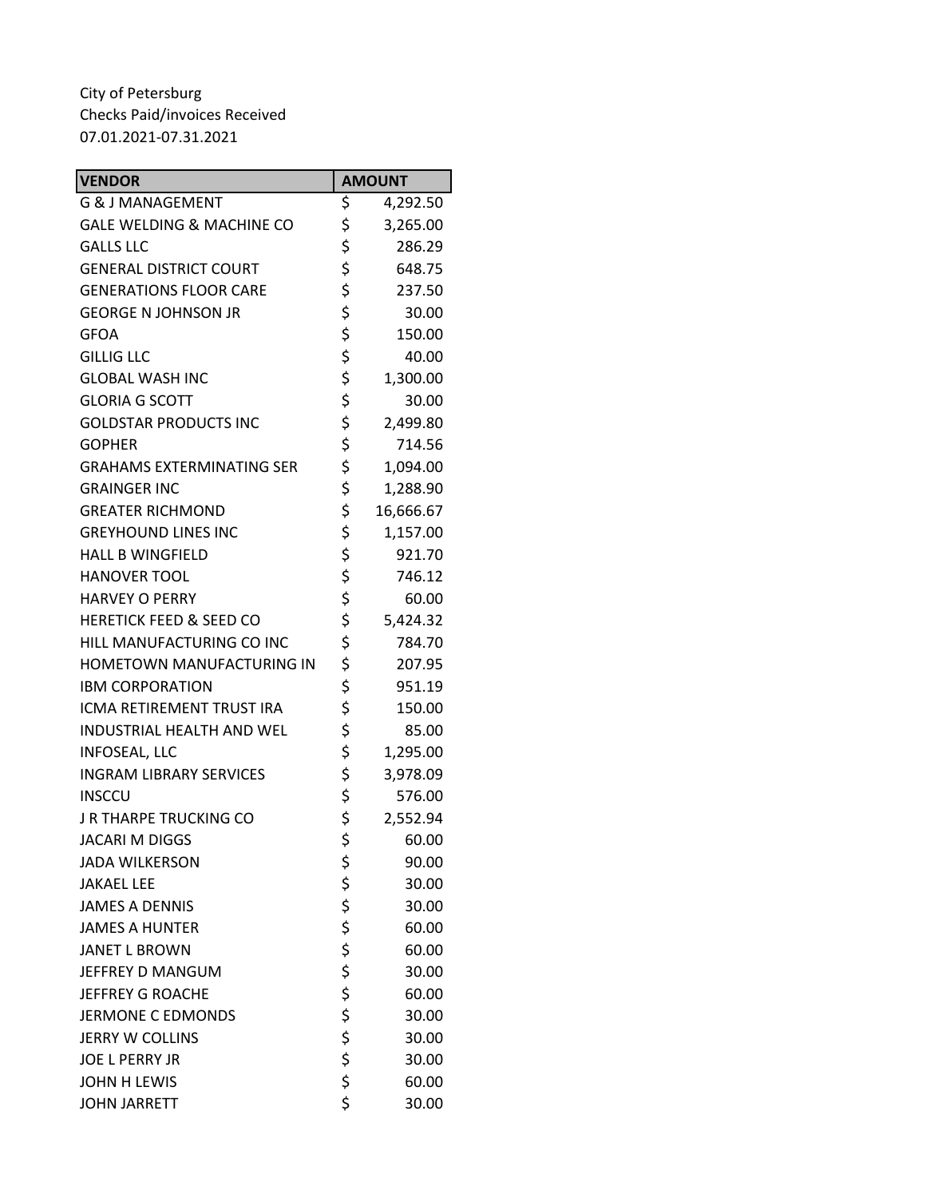| <b>VENDOR</b>                      | <b>AMOUNT</b>   |
|------------------------------------|-----------------|
| <b>G &amp; J MANAGEMENT</b>        | \$<br>4,292.50  |
| GALE WELDING & MACHINE CO          | \$<br>3,265.00  |
| <b>GALLS LLC</b>                   | \$<br>286.29    |
| <b>GENERAL DISTRICT COURT</b>      | \$<br>648.75    |
| <b>GENERATIONS FLOOR CARE</b>      | \$<br>237.50    |
| <b>GEORGE N JOHNSON JR</b>         | \$<br>30.00     |
| <b>GFOA</b>                        | \$<br>150.00    |
| <b>GILLIG LLC</b>                  | \$<br>40.00     |
| <b>GLOBAL WASH INC</b>             | \$<br>1,300.00  |
| <b>GLORIA G SCOTT</b>              | \$<br>30.00     |
| <b>GOLDSTAR PRODUCTS INC</b>       | \$<br>2,499.80  |
| <b>GOPHER</b>                      | \$<br>714.56    |
| <b>GRAHAMS EXTERMINATING SER</b>   | \$<br>1,094.00  |
| <b>GRAINGER INC</b>                | \$<br>1,288.90  |
| <b>GREATER RICHMOND</b>            | \$<br>16,666.67 |
| <b>GREYHOUND LINES INC</b>         | \$<br>1,157.00  |
| <b>HALL B WINGFIELD</b>            | \$<br>921.70    |
| <b>HANOVER TOOL</b>                | \$<br>746.12    |
| <b>HARVEY O PERRY</b>              | \$<br>60.00     |
| <b>HERETICK FEED &amp; SEED CO</b> | \$<br>5,424.32  |
| HILL MANUFACTURING CO INC          | \$<br>784.70    |
| HOMETOWN MANUFACTURING IN          | \$<br>207.95    |
| <b>IBM CORPORATION</b>             | \$<br>951.19    |
| ICMA RETIREMENT TRUST IRA          | \$<br>150.00    |
| <b>INDUSTRIAL HEALTH AND WEL</b>   | \$<br>85.00     |
| <b>INFOSEAL, LLC</b>               | \$<br>1,295.00  |
| <b>INGRAM LIBRARY SERVICES</b>     | \$<br>3,978.09  |
| <b>INSCCU</b>                      | \$<br>576.00    |
| J R THARPE TRUCKING CO             | \$<br>2,552.94  |
| <b>JACARI M DIGGS</b>              | \$<br>60.00     |
| <b>JADA WILKERSON</b>              | \$<br>90.00     |
| <b>JAKAEL LEE</b>                  | \$<br>30.00     |
| <b>JAMES A DENNIS</b>              | \$<br>30.00     |
| <b>JAMES A HUNTER</b>              | \$<br>60.00     |
| <b>JANET L BROWN</b>               | \$<br>60.00     |
| JEFFREY D MANGUM                   | \$<br>30.00     |
| <b>JEFFREY G ROACHE</b>            | \$<br>60.00     |
| <b>JERMONE C EDMONDS</b>           | \$<br>30.00     |
| <b>JERRY W COLLINS</b>             | \$<br>30.00     |
| <b>JOE L PERRY JR</b>              | \$<br>30.00     |
| <b>JOHN H LEWIS</b>                | \$<br>60.00     |
| <b>JOHN JARRETT</b>                | \$<br>30.00     |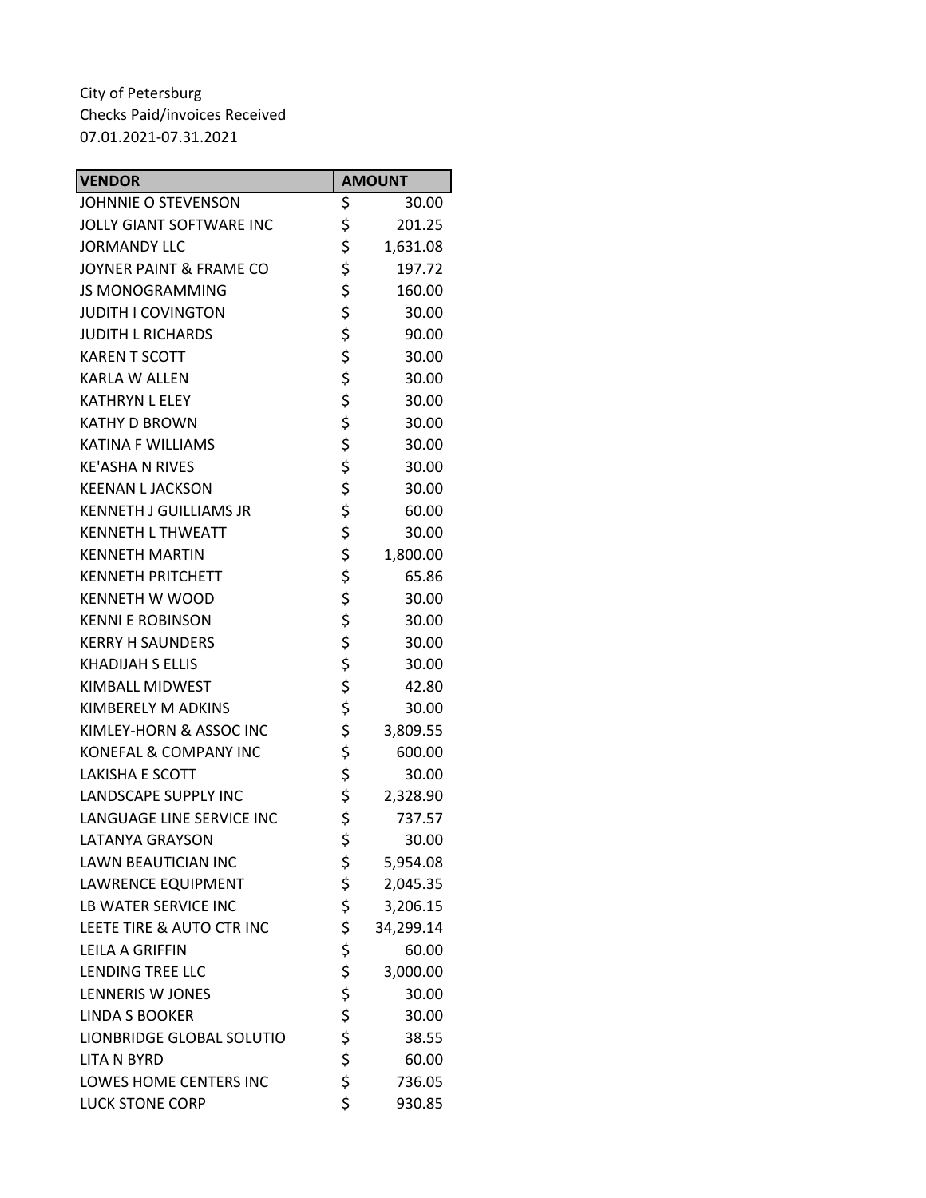| <b>VENDOR</b>                   | <b>AMOUNT</b>   |
|---------------------------------|-----------------|
| JOHNNIE O STEVENSON             | \$<br>30.00     |
| <b>JOLLY GIANT SOFTWARE INC</b> | \$<br>201.25    |
| <b>JORMANDY LLC</b>             | \$<br>1,631.08  |
| JOYNER PAINT & FRAME CO         | \$<br>197.72    |
| <b>JS MONOGRAMMING</b>          | \$<br>160.00    |
| <b>JUDITH I COVINGTON</b>       | \$<br>30.00     |
| <b>JUDITH L RICHARDS</b>        | \$<br>90.00     |
| <b>KAREN T SCOTT</b>            | \$<br>30.00     |
| <b>KARLA W ALLEN</b>            | \$<br>30.00     |
| <b>KATHRYN L ELEY</b>           | \$<br>30.00     |
| <b>KATHY D BROWN</b>            | \$<br>30.00     |
| <b>KATINA F WILLIAMS</b>        | \$<br>30.00     |
| <b>KE'ASHA N RIVES</b>          | \$<br>30.00     |
| <b>KEENAN L JACKSON</b>         | \$<br>30.00     |
| <b>KENNETH J GUILLIAMS JR</b>   | \$<br>60.00     |
| <b>KENNETH L THWEATT</b>        | \$<br>30.00     |
| <b>KENNETH MARTIN</b>           | \$<br>1,800.00  |
| <b>KENNETH PRITCHETT</b>        | \$<br>65.86     |
| <b>KENNETH W WOOD</b>           | \$<br>30.00     |
| <b>KENNI E ROBINSON</b>         | \$<br>30.00     |
| <b>KERRY H SAUNDERS</b>         | \$<br>30.00     |
| <b>KHADIJAH S ELLIS</b>         | \$<br>30.00     |
| KIMBALL MIDWEST                 | \$<br>42.80     |
| KIMBERELY M ADKINS              | \$<br>30.00     |
| KIMLEY-HORN & ASSOC INC         | \$<br>3,809.55  |
| KONEFAL & COMPANY INC           | \$<br>600.00    |
| <b>LAKISHA E SCOTT</b>          | \$<br>30.00     |
| <b>LANDSCAPE SUPPLY INC</b>     | \$<br>2,328.90  |
| LANGUAGE LINE SERVICE INC       | \$<br>737.57    |
| <b>LATANYA GRAYSON</b>          | \$<br>30.00     |
| <b>LAWN BEAUTICIAN INC</b>      | \$<br>5,954.08  |
| <b>LAWRENCE EQUIPMENT</b>       | \$<br>2,045.35  |
| LB WATER SERVICE INC            | \$<br>3,206.15  |
| LEETE TIRE & AUTO CTR INC       | \$<br>34,299.14 |
| LEILA A GRIFFIN                 | \$<br>60.00     |
| <b>LENDING TREE LLC</b>         | \$<br>3,000.00  |
| <b>LENNERIS W JONES</b>         | \$<br>30.00     |
| <b>LINDA S BOOKER</b>           | \$<br>30.00     |
| LIONBRIDGE GLOBAL SOLUTIO       | \$<br>38.55     |
| <b>LITA N BYRD</b>              | \$<br>60.00     |
| LOWES HOME CENTERS INC          | \$<br>736.05    |
| <b>LUCK STONE CORP</b>          | \$<br>930.85    |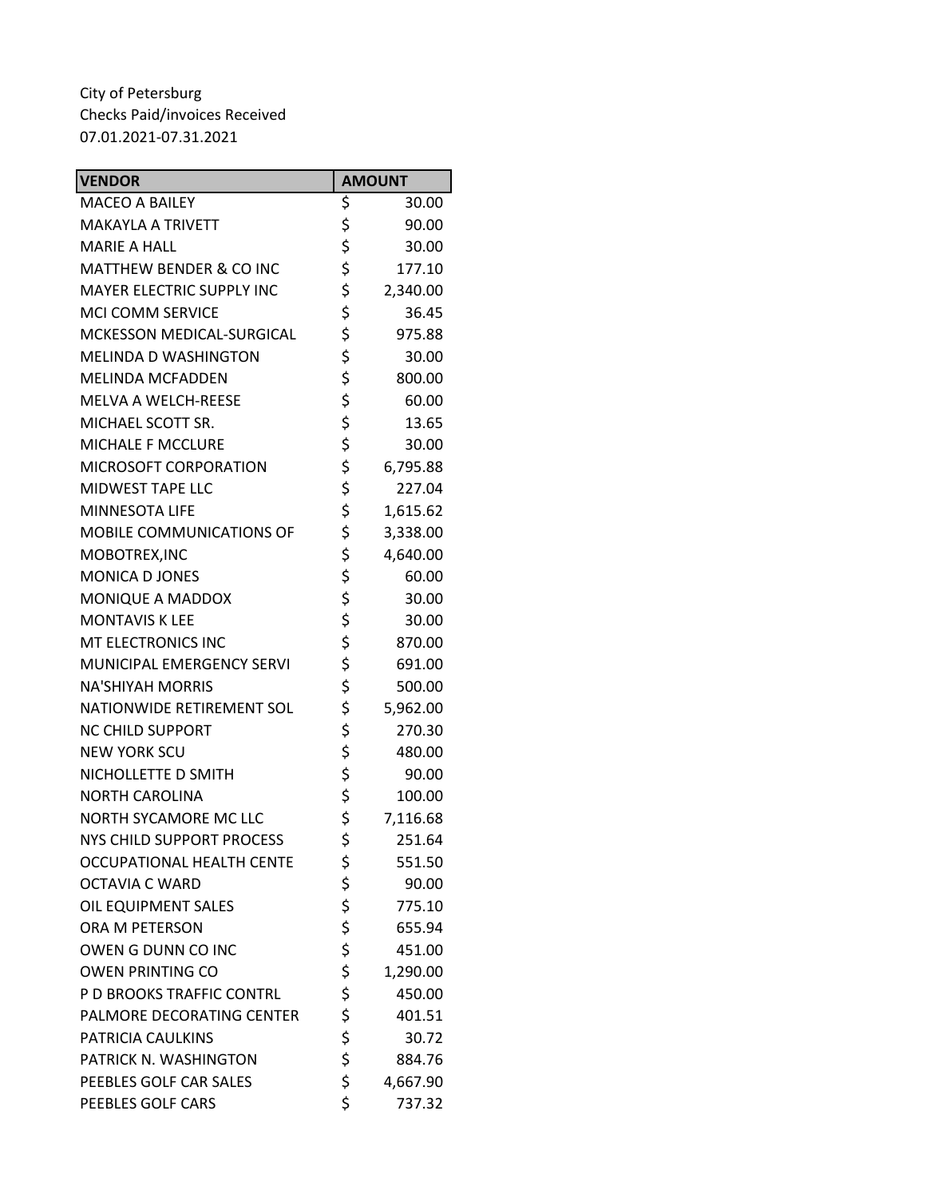| <b>VENDOR</b>                      | <b>AMOUNT</b>  |
|------------------------------------|----------------|
| <b>MACEO A BAILEY</b>              | \$<br>30.00    |
| <b>MAKAYLA A TRIVETT</b>           | \$<br>90.00    |
| <b>MARIE A HALL</b>                | \$<br>30.00    |
| <b>MATTHEW BENDER &amp; CO INC</b> | \$<br>177.10   |
| <b>MAYER ELECTRIC SUPPLY INC</b>   | \$<br>2,340.00 |
| <b>MCI COMM SERVICE</b>            | \$<br>36.45    |
| MCKESSON MEDICAL-SURGICAL          | \$<br>975.88   |
| <b>MELINDA D WASHINGTON</b>        | \$<br>30.00    |
| <b>MELINDA MCFADDEN</b>            | \$<br>800.00   |
| <b>MELVA A WELCH-REESE</b>         | \$<br>60.00    |
| MICHAEL SCOTT SR.                  | \$<br>13.65    |
| <b>MICHALE F MCCLURE</b>           | \$<br>30.00    |
| MICROSOFT CORPORATION              | \$<br>6,795.88 |
| <b>MIDWEST TAPE LLC</b>            | \$<br>227.04   |
| <b>MINNESOTA LIFE</b>              | \$<br>1,615.62 |
| MOBILE COMMUNICATIONS OF           | \$<br>3,338.00 |
| MOBOTREX, INC                      | \$<br>4,640.00 |
| MONICA D JONES                     | \$<br>60.00    |
| MONIQUE A MADDOX                   | \$<br>30.00    |
| <b>MONTAVIS K LEE</b>              | \$<br>30.00    |
| MT ELECTRONICS INC                 | \$<br>870.00   |
| MUNICIPAL EMERGENCY SERVI          | \$<br>691.00   |
| <b>NA'SHIYAH MORRIS</b>            | \$<br>500.00   |
| NATIONWIDE RETIREMENT SOL          | \$<br>5,962.00 |
| <b>NC CHILD SUPPORT</b>            | \$<br>270.30   |
| <b>NEW YORK SCU</b>                | \$<br>480.00   |
| NICHOLLETTE D SMITH                | \$<br>90.00    |
| <b>NORTH CAROLINA</b>              | \$<br>100.00   |
| NORTH SYCAMORE MC LLC              | \$<br>7,116.68 |
| NYS CHILD SUPPORT PROCESS          | \$<br>251.64   |
| <b>OCCUPATIONAL HEALTH CENTE</b>   | \$<br>551.50   |
| <b>OCTAVIA C WARD</b>              | \$<br>90.00    |
| OIL EQUIPMENT SALES                | \$<br>775.10   |
| ORA M PETERSON                     | \$<br>655.94   |
| OWEN G DUNN CO INC                 | \$<br>451.00   |
| <b>OWEN PRINTING CO</b>            | \$<br>1,290.00 |
| P D BROOKS TRAFFIC CONTRL          | \$<br>450.00   |
| PALMORE DECORATING CENTER          | \$<br>401.51   |
| PATRICIA CAULKINS                  | \$<br>30.72    |
| PATRICK N. WASHINGTON              | \$<br>884.76   |
| PEEBLES GOLF CAR SALES             | \$<br>4,667.90 |
| PEEBLES GOLF CARS                  | \$<br>737.32   |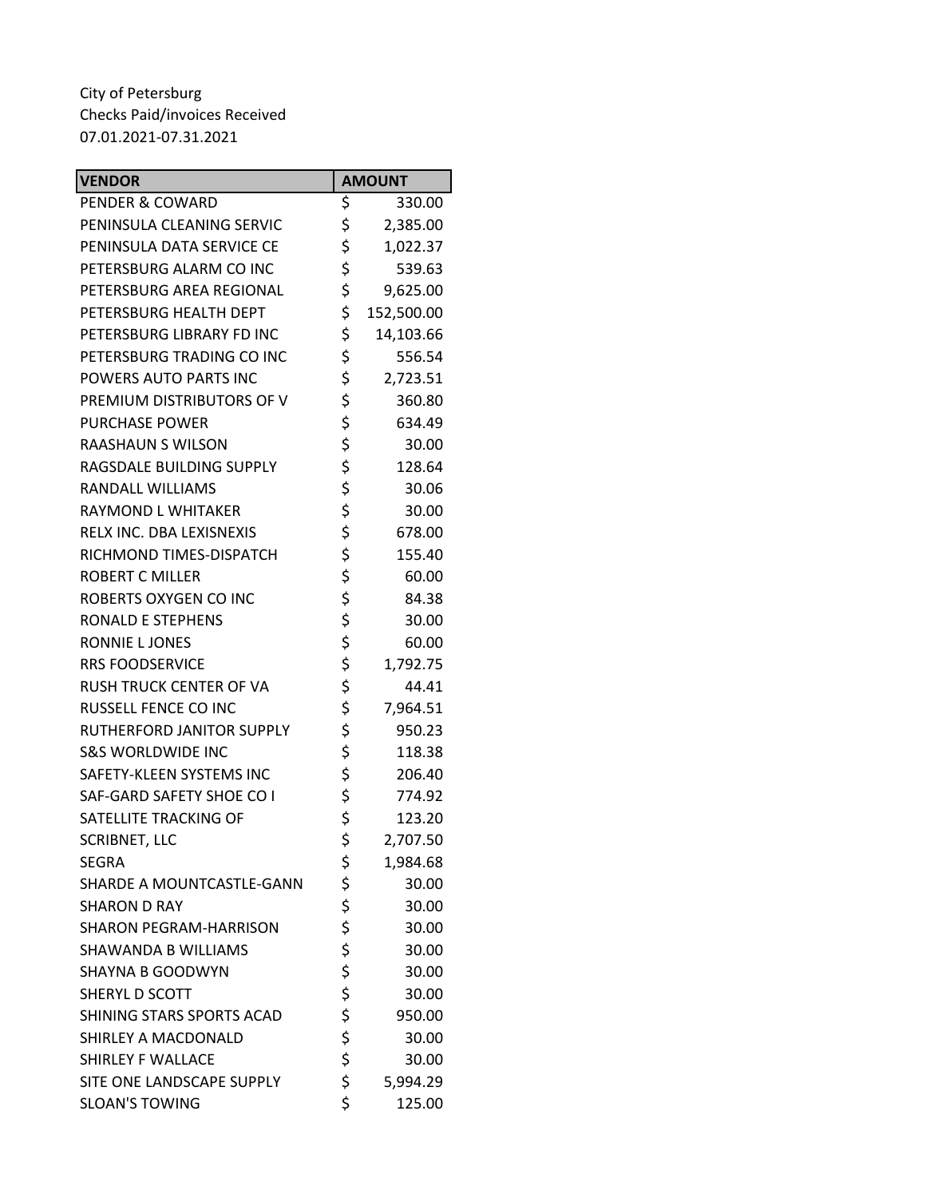| <b>VENDOR</b>                  | <b>AMOUNT</b>    |
|--------------------------------|------------------|
| PENDER & COWARD                | \$<br>330.00     |
| PENINSULA CLEANING SERVIC      | \$<br>2,385.00   |
| PENINSULA DATA SERVICE CE      | \$<br>1,022.37   |
| PETERSBURG ALARM CO INC        | \$<br>539.63     |
| PETERSBURG AREA REGIONAL       | \$<br>9,625.00   |
| PETERSBURG HEALTH DEPT         | \$<br>152,500.00 |
| PETERSBURG LIBRARY FD INC      | \$<br>14,103.66  |
| PETERSBURG TRADING CO INC      | \$<br>556.54     |
| POWERS AUTO PARTS INC          | \$<br>2,723.51   |
| PREMIUM DISTRIBUTORS OF V      | \$<br>360.80     |
| <b>PURCHASE POWER</b>          | \$<br>634.49     |
| RAASHAUN S WILSON              | \$<br>30.00      |
| RAGSDALE BUILDING SUPPLY       | \$<br>128.64     |
| RANDALL WILLIAMS               | \$<br>30.06      |
| RAYMOND L WHITAKER             | \$<br>30.00      |
| RELX INC. DBA LEXISNEXIS       | \$<br>678.00     |
| RICHMOND TIMES-DISPATCH        | \$<br>155.40     |
| <b>ROBERT C MILLER</b>         | \$<br>60.00      |
| ROBERTS OXYGEN CO INC          | \$<br>84.38      |
| RONALD E STEPHENS              | \$<br>30.00      |
| RONNIE L JONES                 | \$<br>60.00      |
| <b>RRS FOODSERVICE</b>         | \$<br>1,792.75   |
| <b>RUSH TRUCK CENTER OF VA</b> | \$<br>44.41      |
| <b>RUSSELL FENCE CO INC</b>    | \$<br>7,964.51   |
| RUTHERFORD JANITOR SUPPLY      | \$<br>950.23     |
| <b>S&amp;S WORLDWIDE INC</b>   | \$<br>118.38     |
| SAFETY-KLEEN SYSTEMS INC       | \$<br>206.40     |
| SAF-GARD SAFETY SHOE CO I      | \$<br>774.92     |
| SATELLITE TRACKING OF          | \$<br>123.20     |
| <b>SCRIBNET, LLC</b>           | \$<br>2,707.50   |
| SEGRA                          | \$<br>1,984.68   |
| SHARDE A MOUNTCASTLE-GANN      | \$<br>30.00      |
| <b>SHARON D RAY</b>            | \$<br>30.00      |
| <b>SHARON PEGRAM-HARRISON</b>  | \$<br>30.00      |
| <b>SHAWANDA B WILLIAMS</b>     | \$<br>30.00      |
| <b>SHAYNA B GOODWYN</b>        | \$<br>30.00      |
| SHERYL D SCOTT                 | \$<br>30.00      |
| SHINING STARS SPORTS ACAD      | \$<br>950.00     |
| SHIRLEY A MACDONALD            | \$<br>30.00      |
| SHIRLEY F WALLACE              | \$<br>30.00      |
| SITE ONE LANDSCAPE SUPPLY      | \$<br>5,994.29   |
| <b>SLOAN'S TOWING</b>          | \$<br>125.00     |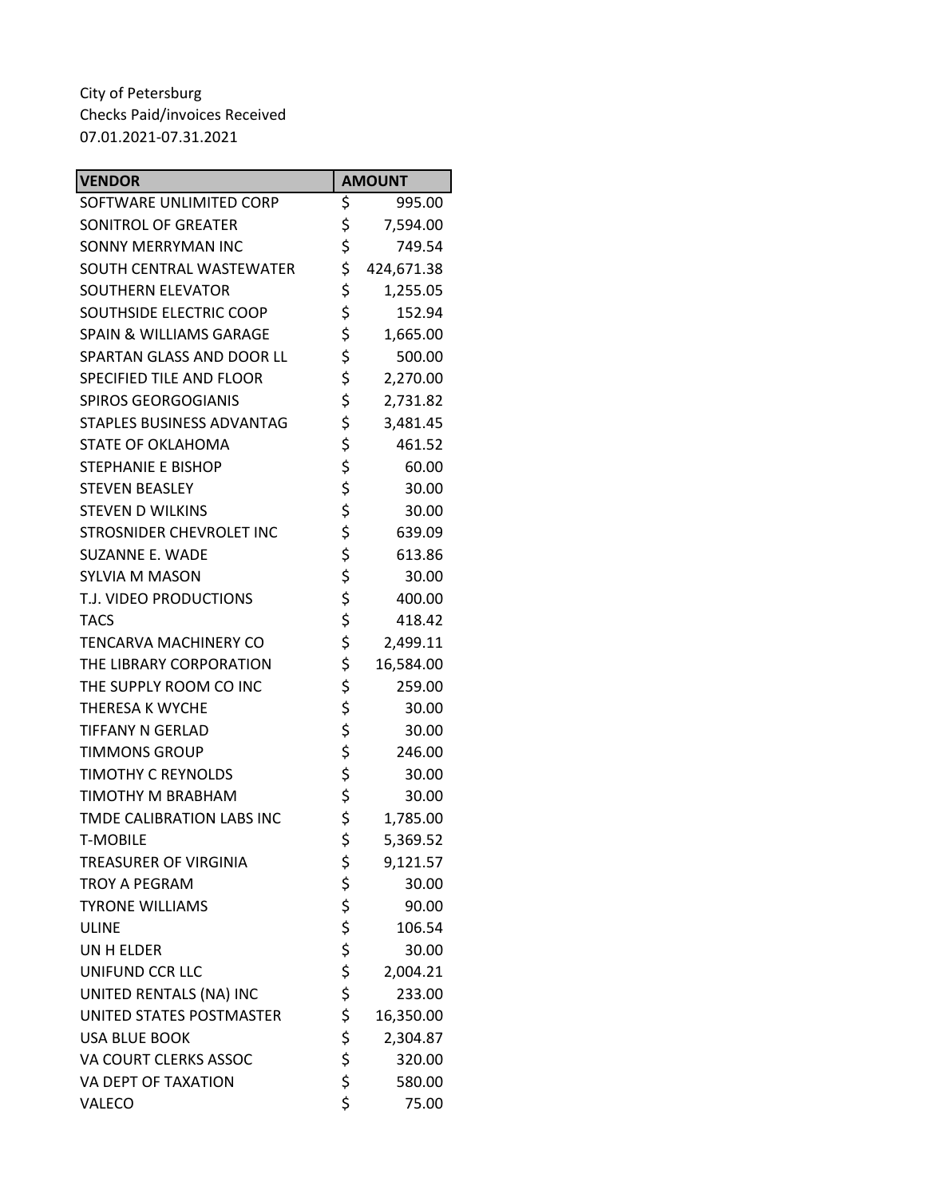| <b>VENDOR</b>                      | <b>AMOUNT</b>    |
|------------------------------------|------------------|
| SOFTWARE UNLIMITED CORP            | \$<br>995.00     |
| SONITROL OF GREATER                | \$<br>7,594.00   |
| SONNY MERRYMAN INC                 | \$<br>749.54     |
| SOUTH CENTRAL WASTEWATER           | \$<br>424,671.38 |
| SOUTHERN ELEVATOR                  | \$<br>1,255.05   |
| SOUTHSIDE ELECTRIC COOP            | \$<br>152.94     |
| <b>SPAIN &amp; WILLIAMS GARAGE</b> | \$<br>1,665.00   |
| SPARTAN GLASS AND DOOR LL          | \$<br>500.00     |
| <b>SPECIFIED TILE AND FLOOR</b>    | \$<br>2,270.00   |
| <b>SPIROS GEORGOGIANIS</b>         | \$<br>2,731.82   |
| STAPLES BUSINESS ADVANTAG          | \$<br>3,481.45   |
| STATE OF OKLAHOMA                  | \$<br>461.52     |
| <b>STEPHANIE E BISHOP</b>          | \$<br>60.00      |
| <b>STEVEN BEASLEY</b>              | \$<br>30.00      |
| <b>STEVEN D WILKINS</b>            | \$<br>30.00      |
| STROSNIDER CHEVROLET INC           | \$<br>639.09     |
| SUZANNE E. WADE                    | \$<br>613.86     |
| <b>SYLVIA M MASON</b>              | \$<br>30.00      |
| T.J. VIDEO PRODUCTIONS             | \$<br>400.00     |
| <b>TACS</b>                        | \$<br>418.42     |
| TENCARVA MACHINERY CO              | \$<br>2,499.11   |
| THE LIBRARY CORPORATION            | \$<br>16,584.00  |
| THE SUPPLY ROOM CO INC             | \$<br>259.00     |
| THERESA K WYCHE                    | \$<br>30.00      |
| TIFFANY N GERLAD                   | \$<br>30.00      |
| <b>TIMMONS GROUP</b>               | \$<br>246.00     |
| <b>TIMOTHY C REYNOLDS</b>          | \$<br>30.00      |
| TIMOTHY M BRABHAM                  | \$<br>30.00      |
| TMDE CALIBRATION LABS INC          | \$<br>1,785.00   |
| <b>T-MOBILE</b>                    | \$<br>5,369.52   |
| <b>TREASURER OF VIRGINIA</b>       | \$<br>9,121.57   |
| <b>TROY A PEGRAM</b>               | \$<br>30.00      |
| <b>TYRONE WILLIAMS</b>             | \$<br>90.00      |
| <b>ULINE</b>                       | \$<br>106.54     |
| UN H ELDER                         | \$<br>30.00      |
| UNIFUND CCR LLC                    | \$<br>2,004.21   |
| UNITED RENTALS (NA) INC            | \$<br>233.00     |
| UNITED STATES POSTMASTER           | \$<br>16,350.00  |
| <b>USA BLUE BOOK</b>               | \$<br>2,304.87   |
| VA COURT CLERKS ASSOC              | \$<br>320.00     |
| VA DEPT OF TAXATION                | \$<br>580.00     |
| VALECO                             | \$<br>75.00      |